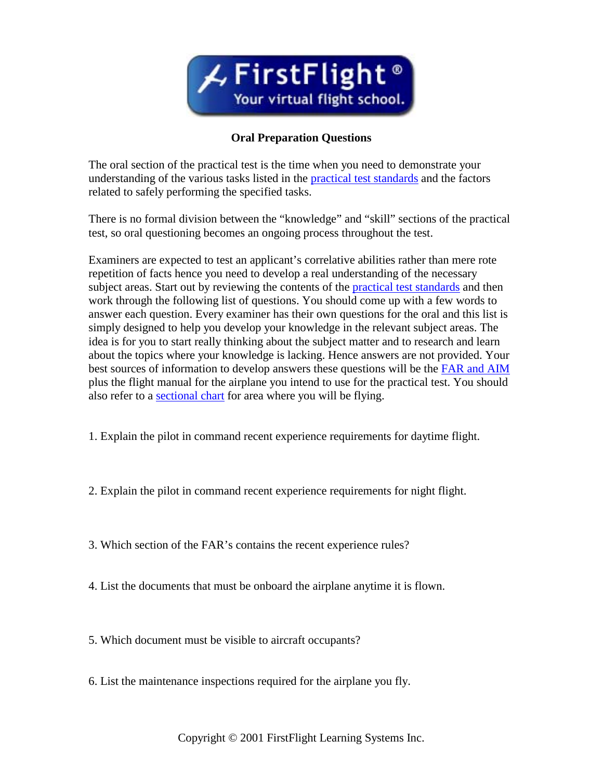

## **Oral Preparation Questions**

The oral section of the practical test is the time when you need to demonstrate your understanding of the various tasks listed in the [practical test standards](http://www.firstflight.com/features/pts.htm) and the factors related to safely performing the specified tasks.

There is no formal division between the "knowledge" and "skill" sections of the practical test, so oral questioning becomes an ongoing process throughout the test.

Examiners are expected to test an applicant's correlative abilities rather than mere rote repetition of facts hence you need to develop a real understanding of the necessary subject areas. Start out by reviewing the contents of the **practical test standards** and then work through the following list of questions. You should come up with a few words to answer each question. Every examiner has their own questions for the oral and this list is simply designed to help you develop your knowledge in the relevant subject areas. The idea is for you to start really thinking about the subject matter and to research and learn about the topics where your knowledge is lacking. Hence answers are not provided. Your best sources of information to develop answers these questions will be the [FAR and AIM](http://www.firstflight.com/bookstore.htm) plus the flight manual for the airplane you intend to use for the practical test. You should also refer to a [sectional chart](http://www.firstflight.com/shop.htm) for area where you will be flying.

- 1. Explain the pilot in command recent experience requirements for daytime flight.
- 2. Explain the pilot in command recent experience requirements for night flight.
- 3. Which section of the FAR's contains the recent experience rules?
- 4. List the documents that must be onboard the airplane anytime it is flown.
- 5. Which document must be visible to aircraft occupants?
- 6. List the maintenance inspections required for the airplane you fly.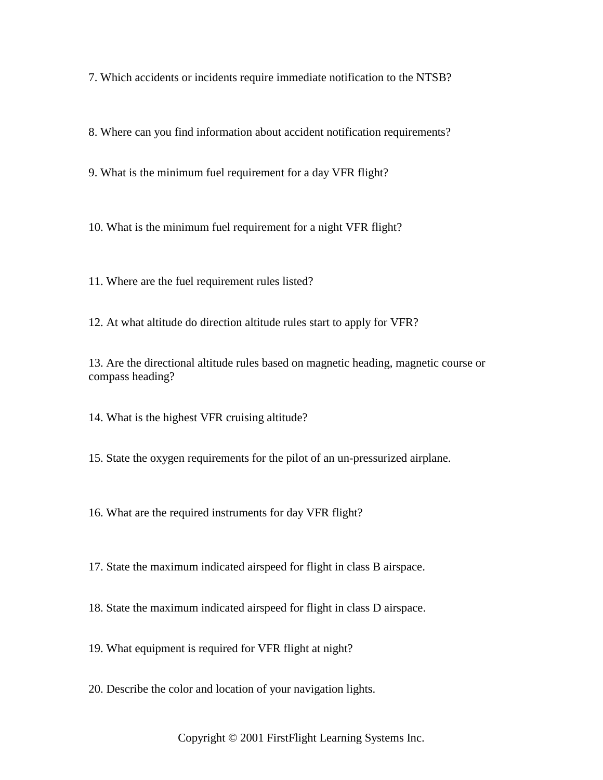7. Which accidents or incidents require immediate notification to the NTSB?

8. Where can you find information about accident notification requirements?

9. What is the minimum fuel requirement for a day VFR flight?

10. What is the minimum fuel requirement for a night VFR flight?

11. Where are the fuel requirement rules listed?

12. At what altitude do direction altitude rules start to apply for VFR?

13. Are the directional altitude rules based on magnetic heading, magnetic course or compass heading?

14. What is the highest VFR cruising altitude?

15. State the oxygen requirements for the pilot of an un-pressurized airplane.

16. What are the required instruments for day VFR flight?

17. State the maximum indicated airspeed for flight in class B airspace.

18. State the maximum indicated airspeed for flight in class D airspace.

19. What equipment is required for VFR flight at night?

20. Describe the color and location of your navigation lights.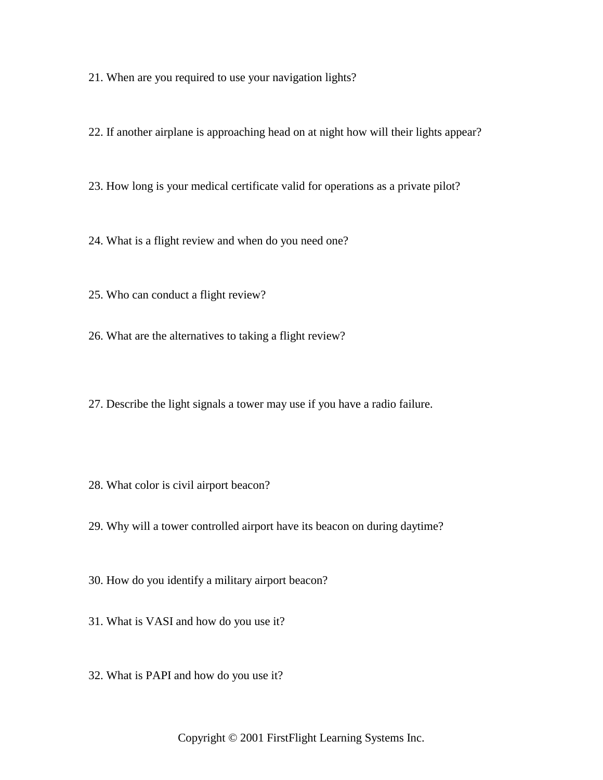21. When are you required to use your navigation lights?

22. If another airplane is approaching head on at night how will their lights appear?

23. How long is your medical certificate valid for operations as a private pilot?

24. What is a flight review and when do you need one?

25. Who can conduct a flight review?

26. What are the alternatives to taking a flight review?

27. Describe the light signals a tower may use if you have a radio failure.

28. What color is civil airport beacon?

29. Why will a tower controlled airport have its beacon on during daytime?

30. How do you identify a military airport beacon?

31. What is VASI and how do you use it?

32. What is PAPI and how do you use it?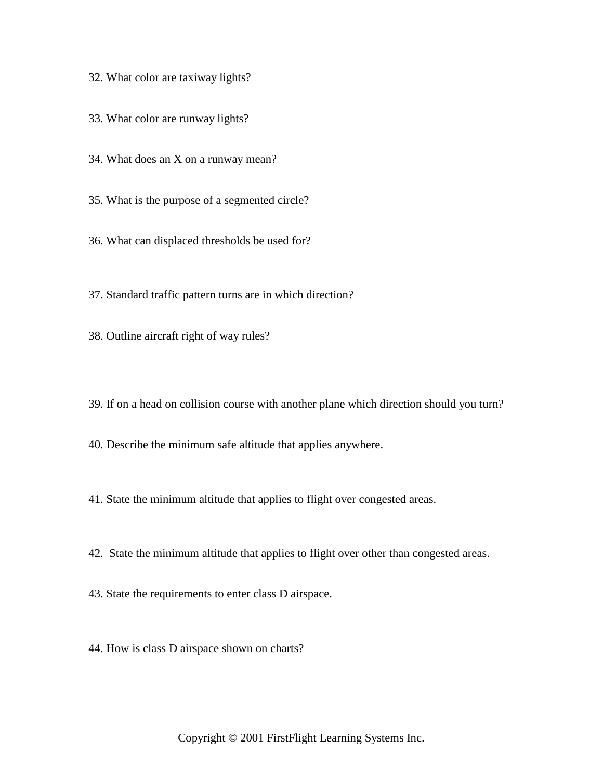- 32. What color are taxiway lights?
- 33. What color are runway lights?
- 34. What does an X on a runway mean?
- 35. What is the purpose of a segmented circle?
- 36. What can displaced thresholds be used for?
- 37. Standard traffic pattern turns are in which direction?
- 38. Outline aircraft right of way rules?
- 39. If on a head on collision course with another plane which direction should you turn?
- 40. Describe the minimum safe altitude that applies anywhere.
- 41. State the minimum altitude that applies to flight over congested areas.
- 42. State the minimum altitude that applies to flight over other than congested areas.
- 43. State the requirements to enter class D airspace.
- 44. How is class D airspace shown on charts?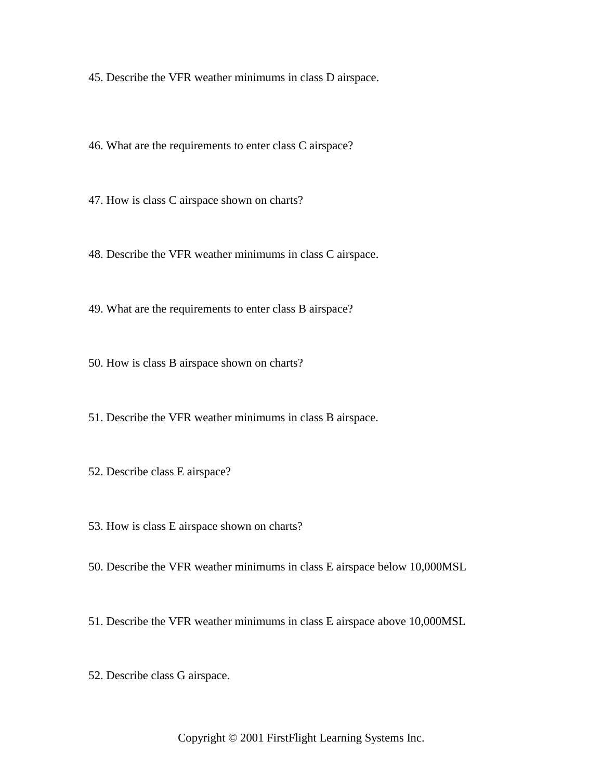45. Describe the VFR weather minimums in class D airspace.

46. What are the requirements to enter class C airspace?

47. How is class C airspace shown on charts?

48. Describe the VFR weather minimums in class C airspace.

49. What are the requirements to enter class B airspace?

50. How is class B airspace shown on charts?

51. Describe the VFR weather minimums in class B airspace.

52. Describe class E airspace?

53. How is class E airspace shown on charts?

50. Describe the VFR weather minimums in class E airspace below 10,000MSL

51. Describe the VFR weather minimums in class E airspace above 10,000MSL

52. Describe class G airspace.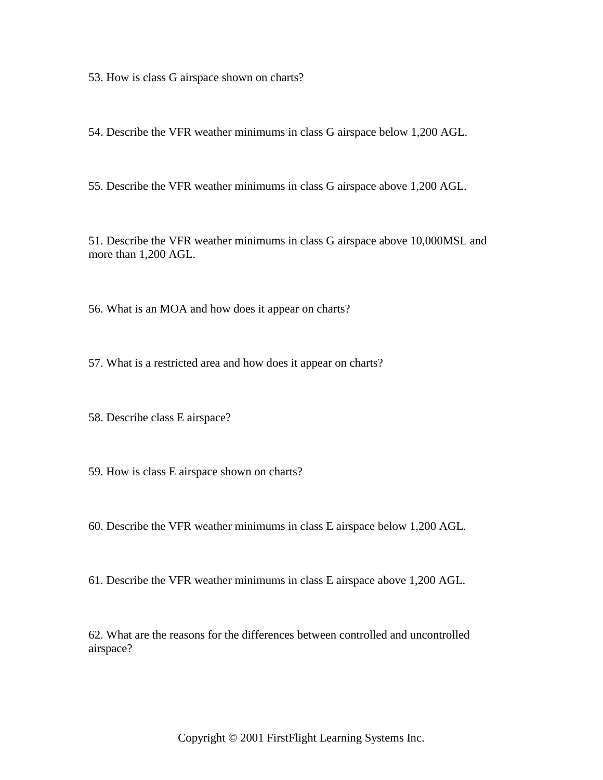53. How is class G airspace shown on charts?

54. Describe the VFR weather minimums in class G airspace below 1,200 AGL.

55. Describe the VFR weather minimums in class G airspace above 1,200 AGL.

51. Describe the VFR weather minimums in class G airspace above 10,000MSL and more than 1,200 AGL.

56. What is an MOA and how does it appear on charts?

57. What is a restricted area and how does it appear on charts?

58. Describe class E airspace?

- 59. How is class E airspace shown on charts?
- 60. Describe the VFR weather minimums in class E airspace below 1,200 AGL.
- 61. Describe the VFR weather minimums in class E airspace above 1,200 AGL.

62. What are the reasons for the differences between controlled and uncontrolled airspace?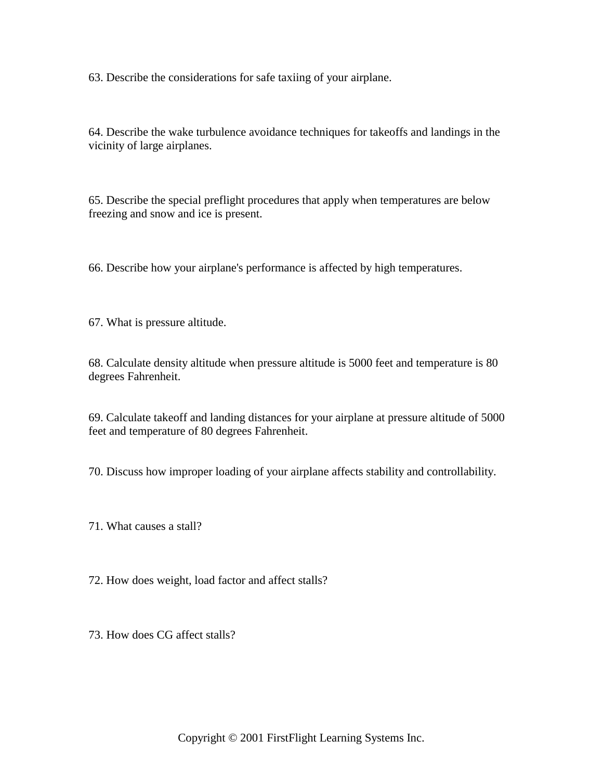63. Describe the considerations for safe taxiing of your airplane.

64. Describe the wake turbulence avoidance techniques for takeoffs and landings in the vicinity of large airplanes.

65. Describe the special preflight procedures that apply when temperatures are below freezing and snow and ice is present.

66. Describe how your airplane's performance is affected by high temperatures.

67. What is pressure altitude.

68. Calculate density altitude when pressure altitude is 5000 feet and temperature is 80 degrees Fahrenheit.

69. Calculate takeoff and landing distances for your airplane at pressure altitude of 5000 feet and temperature of 80 degrees Fahrenheit.

70. Discuss how improper loading of your airplane affects stability and controllability.

71. What causes a stall?

72. How does weight, load factor and affect stalls?

73. How does CG affect stalls?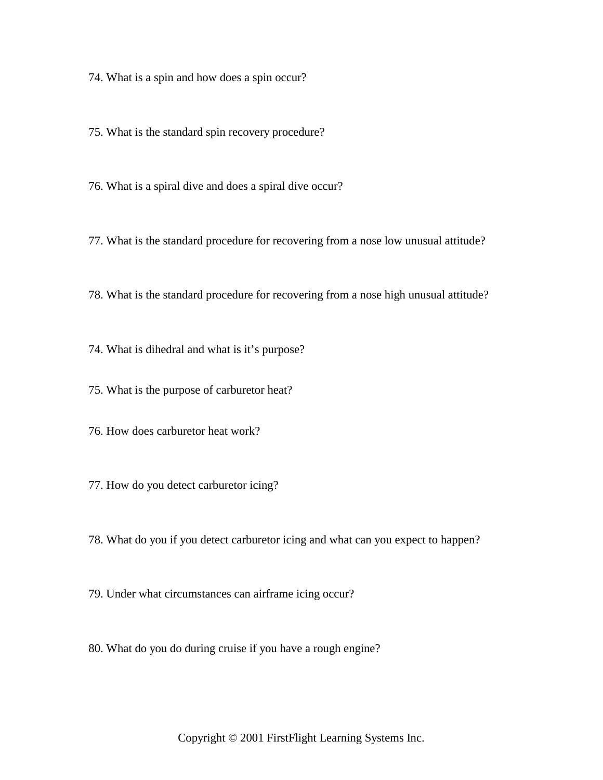74. What is a spin and how does a spin occur?

75. What is the standard spin recovery procedure?

76. What is a spiral dive and does a spiral dive occur?

77. What is the standard procedure for recovering from a nose low unusual attitude?

78. What is the standard procedure for recovering from a nose high unusual attitude?

74. What is dihedral and what is it's purpose?

75. What is the purpose of carburetor heat?

76. How does carburetor heat work?

77. How do you detect carburetor icing?

78. What do you if you detect carburetor icing and what can you expect to happen?

79. Under what circumstances can airframe icing occur?

80. What do you do during cruise if you have a rough engine?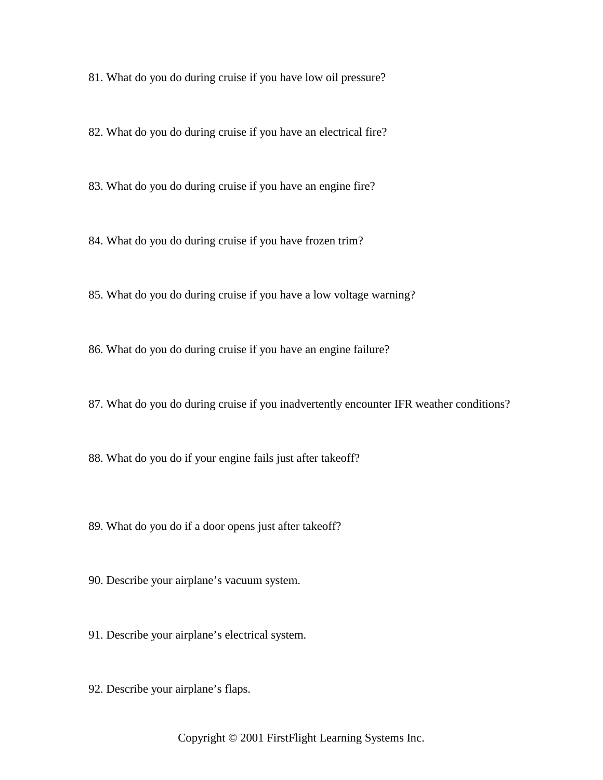81. What do you do during cruise if you have low oil pressure?

82. What do you do during cruise if you have an electrical fire?

83. What do you do during cruise if you have an engine fire?

84. What do you do during cruise if you have frozen trim?

85. What do you do during cruise if you have a low voltage warning?

86. What do you do during cruise if you have an engine failure?

87. What do you do during cruise if you inadvertently encounter IFR weather conditions?

88. What do you do if your engine fails just after takeoff?

89. What do you do if a door opens just after takeoff?

90. Describe your airplane's vacuum system.

91. Describe your airplane's electrical system.

92. Describe your airplane's flaps.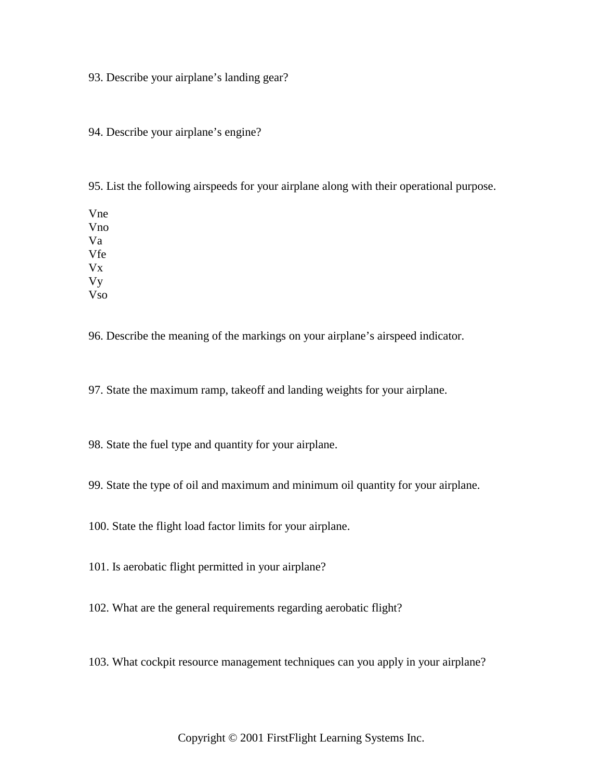93. Describe your airplane's landing gear?

94. Describe your airplane's engine?

95. List the following airspeeds for your airplane along with their operational purpose.

Vne Vno Va Vfe Vx Vy Vso

96. Describe the meaning of the markings on your airplane's airspeed indicator.

97. State the maximum ramp, takeoff and landing weights for your airplane.

98. State the fuel type and quantity for your airplane.

99. State the type of oil and maximum and minimum oil quantity for your airplane.

100. State the flight load factor limits for your airplane.

101. Is aerobatic flight permitted in your airplane?

102. What are the general requirements regarding aerobatic flight?

103. What cockpit resource management techniques can you apply in your airplane?